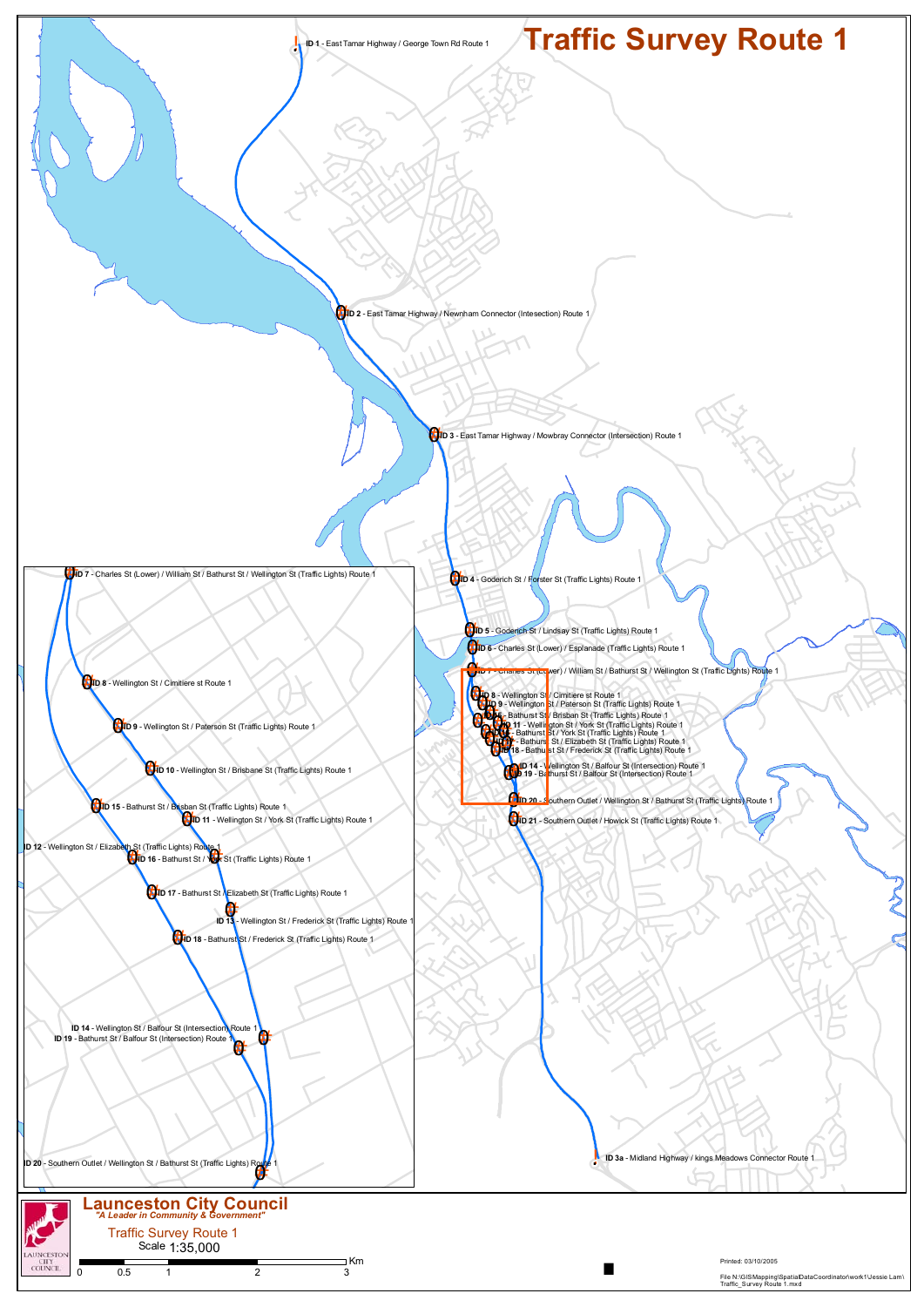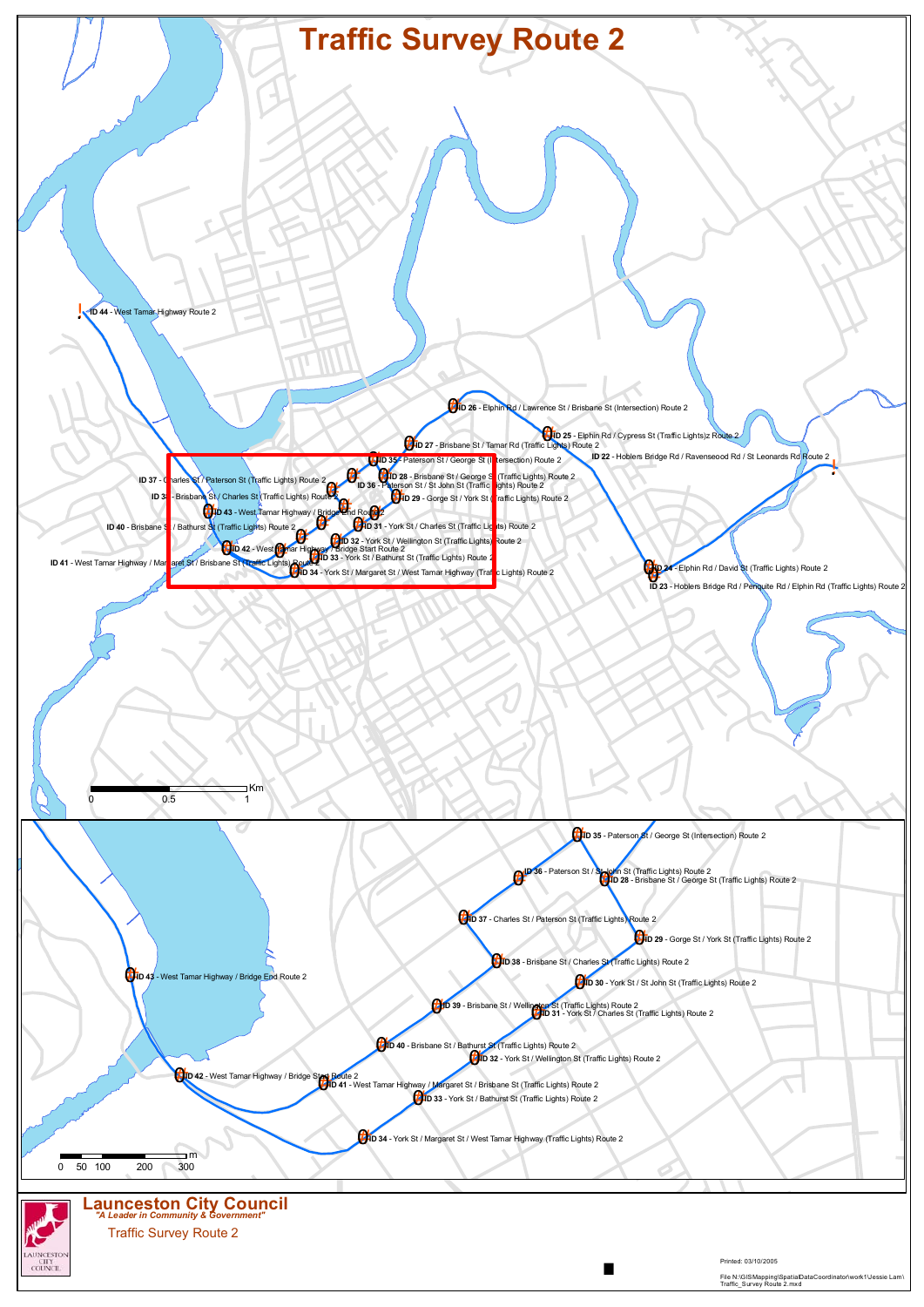